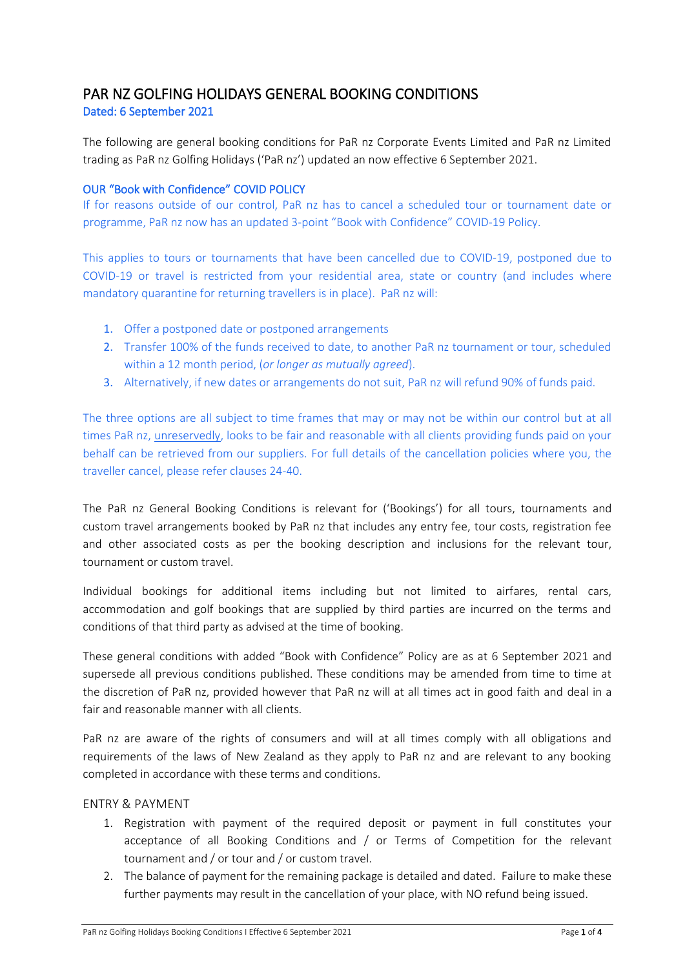# PAR NZ GOLFING HOLIDAYS GENERAL BOOKING CONDITIONS

Dated: 6 September 2021

The following are general booking conditions for PaR nz Corporate Events Limited and PaR nz Limited trading as PaR nz Golfing Holidays ('PaR nz') updated an now effective 6 September 2021.

#### OUR "Book with Confidence" COVID POLICY

If for reasons outside of our control, PaR nz has to cancel a scheduled tour or tournament date or programme, PaR nz now has an updated 3-point "Book with Confidence" COVID-19 Policy.

This applies to tours or tournaments that have been cancelled due to COVID-19, postponed due to COVID-19 or travel is restricted from your residential area, state or country (and includes where mandatory quarantine for returning travellers is in place). PaR nz will:

- 1. Offer a postponed date or postponed arrangements
- 2. Transfer 100% of the funds received to date, to another PaR nz tournament or tour, scheduled within a 12 month period, (*or longer as mutually agreed*).
- 3. Alternatively, if new dates or arrangements do not suit, PaR nz will refund 90% of funds paid.

The three options are all subject to time frames that may or may not be within our control but at all times PaR nz, unreservedly, looks to be fair and reasonable with all clients providing funds paid on your behalf can be retrieved from our suppliers. For full details of the cancellation policies where you, the traveller cancel, please refer clauses 24-40.

The PaR nz General Booking Conditions is relevant for ('Bookings') for all tours, tournaments and custom travel arrangements booked by PaR nz that includes any entry fee, tour costs, registration fee and other associated costs as per the booking description and inclusions for the relevant tour, tournament or custom travel.

Individual bookings for additional items including but not limited to airfares, rental cars, accommodation and golf bookings that are supplied by third parties are incurred on the terms and conditions of that third party as advised at the time of booking.

These general conditions with added "Book with Confidence" Policy are as at 6 September 2021 and supersede all previous conditions published. These conditions may be amended from time to time at the discretion of PaR nz, provided however that PaR nz will at all times act in good faith and deal in a fair and reasonable manner with all clients.

PaR nz are aware of the rights of consumers and will at all times comply with all obligations and requirements of the laws of New Zealand as they apply to PaR nz and are relevant to any booking completed in accordance with these terms and conditions.

## ENTRY & PAYMENT

- 1. Registration with payment of the required deposit or payment in full constitutes your acceptance of all Booking Conditions and / or Terms of Competition for the relevant tournament and / or tour and / or custom travel.
- 2. The balance of payment for the remaining package is detailed and dated. Failure to make these further payments may result in the cancellation of your place, with NO refund being issued.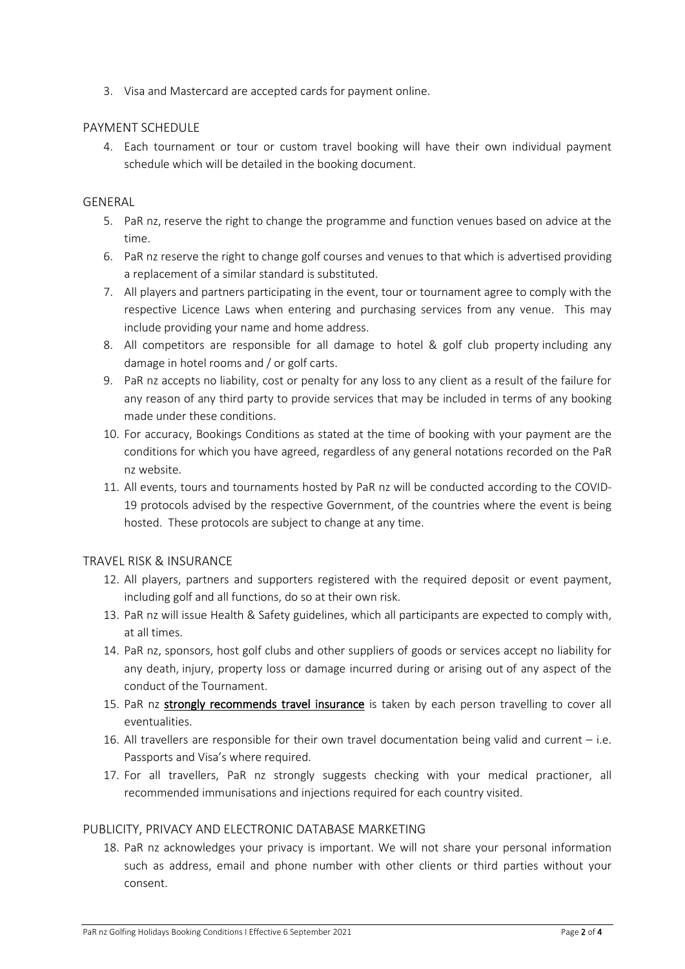3. Visa and Mastercard are accepted cards for payment online.

#### PAYMENT SCHEDULE

4. Each tournament or tour or custom travel booking will have their own individual payment schedule which will be detailed in the booking document.

#### GENERAL

- 5. PaR nz, reserve the right to change the programme and function venues based on advice at the time.
- 6. PaR nz reserve the right to change golf courses and venues to that which is advertised providing a replacement of a similar standard is substituted.
- 7. All players and partners participating in the event, tour or tournament agree to comply with the respective Licence Laws when entering and purchasing services from any venue. This may include providing your name and home address.
- 8. All competitors are responsible for all damage to hotel & golf club property including any damage in hotel rooms and / or golf carts.
- 9. PaR nz accepts no liability, cost or penalty for any loss to any client as a result of the failure for any reason of any third party to provide services that may be included in terms of any booking made under these conditions.
- 10. For accuracy, Bookings Conditions as stated at the time of booking with your payment are the conditions for which you have agreed, regardless of any general notations recorded on the PaR nz website.
- 11. All events, tours and tournaments hosted by PaR nz will be conducted according to the COVID-19 protocols advised by the respective Government, of the countries where the event is being hosted. These protocols are subject to change at any time.

## TRAVEL RISK & INSURANCE

- 12. All players, partners and supporters registered with the required deposit or event payment, including golf and all functions, do so at their own risk.
- 13. PaR nz will issue Health & Safety guidelines, which all participants are expected to comply with, at all times.
- 14. PaR nz, sponsors, host golf clubs and other suppliers of goods or services accept no liability for any death, injury, property loss or damage incurred during or arising out of any aspect of the conduct of the Tournament.
- 15. PaR nz strongly recommends travel insurance is taken by each person travelling to cover all eventualities.
- 16. All travellers are responsible for their own travel documentation being valid and current i.e. Passports and Visa's where required.
- 17. For all travellers, PaR nz strongly suggests checking with your medical practioner, all recommended immunisations and injections required for each country visited.

## PUBLICITY, PRIVACY AND ELECTRONIC DATABASE MARKETING

18. PaR nz acknowledges your privacy is important. We will not share your personal information such as address, email and phone number with other clients or third parties without your consent.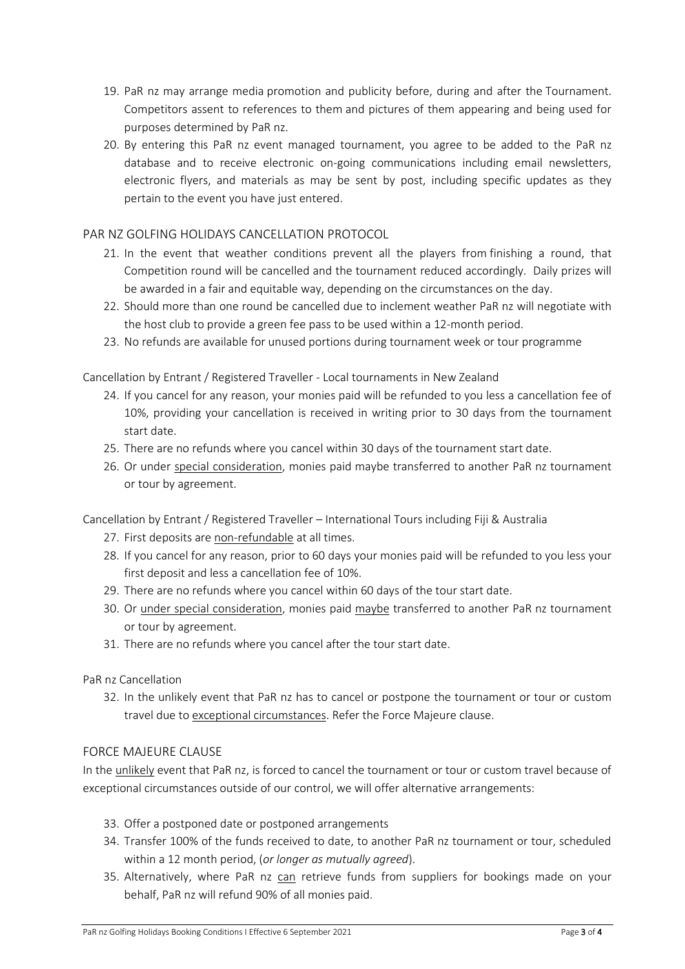- 19. PaR nz may arrange media promotion and publicity before, during and after the Tournament. Competitors assent to references to them and pictures of them appearing and being used for purposes determined by PaR nz.
- 20. By entering this PaR nz event managed tournament, you agree to be added to the PaR nz database and to receive electronic on-going communications including email newsletters, electronic flyers, and materials as may be sent by post, including specific updates as they pertain to the event you have just entered.

# PAR NZ GOLFING HOLIDAYS CANCELLATION PROTOCOL

- 21. In the event that weather conditions prevent all the players from finishing a round, that Competition round will be cancelled and the tournament reduced accordingly. Daily prizes will be awarded in a fair and equitable way, depending on the circumstances on the day.
- 22. Should more than one round be cancelled due to inclement weather PaR nz will negotiate with the host club to provide a green fee pass to be used within a 12-month period.
- 23. No refunds are available for unused portions during tournament week or tour programme

Cancellation by Entrant / Registered Traveller - Local tournaments in New Zealand

- 24. If you cancel for any reason, your monies paid will be refunded to you less a cancellation fee of 10%, providing your cancellation is received in writing prior to 30 days from the tournament start date.
- 25. There are no refunds where you cancel within 30 days of the tournament start date.
- 26. Or under special consideration, monies paid maybe transferred to another PaR nz tournament or tour by agreement.

Cancellation by Entrant / Registered Traveller – International Tours including Fiji & Australia

- 27. First deposits are non-refundable at all times.
- 28. If you cancel for any reason, prior to 60 days your monies paid will be refunded to you less your first deposit and less a cancellation fee of 10%.
- 29. There are no refunds where you cancel within 60 days of the tour start date.
- 30. Or under special consideration, monies paid maybe transferred to another PaR nz tournament or tour by agreement.
- 31. There are no refunds where you cancel after the tour start date.

PaR nz Cancellation

32. In the unlikely event that PaR nz has to cancel or postpone the tournament or tour or custom travel due to exceptional circumstances. Refer the Force Majeure clause.

# FORCE MAJEURE CLAUSE

In the unlikely event that PaR nz, is forced to cancel the tournament or tour or custom travel because of exceptional circumstances outside of our control, we will offer alternative arrangements:

- 33. Offer a postponed date or postponed arrangements
- 34. Transfer 100% of the funds received to date, to another PaR nz tournament or tour, scheduled within a 12 month period, (*or longer as mutually agreed*).
- 35. Alternatively, where PaR nz can retrieve funds from suppliers for bookings made on your behalf, PaR nz will refund 90% of all monies paid.